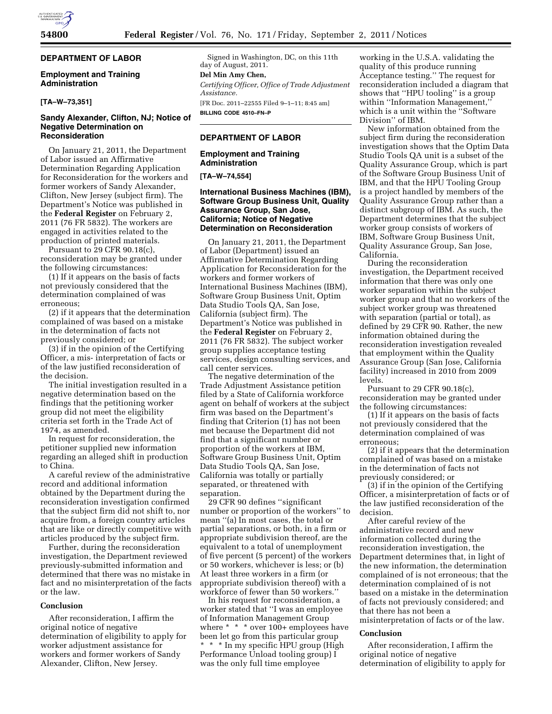## **DEPARTMENT OF LABOR**

### **Employment and Training Administration**

## **[TA–W–73,351]**

### **Sandy Alexander, Clifton, NJ; Notice of Negative Determination on Reconsideration**

On January 21, 2011, the Department of Labor issued an Affirmative Determination Regarding Application for Reconsideration for the workers and former workers of Sandy Alexander, Clifton, New Jersey (subject firm). The Department's Notice was published in the **Federal Register** on February 2, 2011 (76 FR 5832). The workers are engaged in activities related to the production of printed materials.

Pursuant to 29 CFR 90.18(c), reconsideration may be granted under the following circumstances:

(1) If it appears on the basis of facts not previously considered that the determination complained of was erroneous;

(2) if it appears that the determination complained of was based on a mistake in the determination of facts not previously considered; or

(3) if in the opinion of the Certifying Officer, a mis- interpretation of facts or of the law justified reconsideration of the decision.

The initial investigation resulted in a negative determination based on the findings that the petitioning worker group did not meet the eligibility criteria set forth in the Trade Act of 1974, as amended.

In request for reconsideration, the petitioner supplied new information regarding an alleged shift in production to China.

A careful review of the administrative record and additional information obtained by the Department during the reconsideration investigation confirmed that the subject firm did not shift to, nor acquire from, a foreign country articles that are like or directly competitive with articles produced by the subject firm.

Further, during the reconsideration investigation, the Department reviewed previously-submitted information and determined that there was no mistake in fact and no misinterpretation of the facts or the law.

#### **Conclusion**

After reconsideration, I affirm the original notice of negative determination of eligibility to apply for worker adjustment assistance for workers and former workers of Sandy Alexander, Clifton, New Jersey.

Signed in Washington, DC, on this 11th day of August, 2011.

# **Del Min Amy Chen,**

*Certifying Officer, Office of Trade Adjustment Assistance.* 

[FR Doc. 2011–22555 Filed 9–1–11; 8:45 am] **BILLING CODE 4510–FN–P** 

## **DEPARTMENT OF LABOR**

**Employment and Training Administration** 

**[TA–W–74,554]** 

## **International Business Machines (IBM), Software Group Business Unit, Quality Assurance Group, San Jose, California; Notice of Negative Determination on Reconsideration**

On January 21, 2011, the Department of Labor (Department) issued an Affirmative Determination Regarding Application for Reconsideration for the workers and former workers of International Business Machines (IBM), Software Group Business Unit, Optim Data Studio Tools QA, San Jose, California (subject firm). The Department's Notice was published in the **Federal Register** on February 2, 2011 (76 FR 5832). The subject worker group supplies acceptance testing services, design consulting services, and call center services.

The negative determination of the Trade Adjustment Assistance petition filed by a State of California workforce agent on behalf of workers at the subject firm was based on the Department's finding that Criterion (1) has not been met because the Department did not find that a significant number or proportion of the workers at IBM, Software Group Business Unit, Optim Data Studio Tools QA, San Jose, California was totally or partially separated, or threatened with separation.

29 CFR 90 defines ''significant number or proportion of the workers'' to mean ''(a) In most cases, the total or partial separations, or both, in a firm or appropriate subdivision thereof, are the equivalent to a total of unemployment of five percent (5 percent) of the workers or 50 workers, whichever is less; or (b) At least three workers in a firm (or appropriate subdivision thereof) with a workforce of fewer than 50 workers.''

In his request for reconsideration, a worker stated that ''I was an employee of Information Management Group where \* \* \* over 100+ employees have been let go from this particular group \* \* \* In my specific HPU group (High Performance Unload tooling group) I was the only full time employee

working in the U.S.A. validating the quality of this produce running Acceptance testing.'' The request for reconsideration included a diagram that shows that ''HPU tooling'' is a group within ''Information Management,'' which is a unit within the ''Software Division'' of IBM.

New information obtained from the subject firm during the reconsideration investigation shows that the Optim Data Studio Tools QA unit is a subset of the Quality Assurance Group, which is part of the Software Group Business Unit of IBM, and that the HPU Tooling Group is a project handled by members of the Quality Assurance Group rather than a distinct subgroup of IBM. As such, the Department determines that the subject worker group consists of workers of IBM, Software Group Business Unit, Quality Assurance Group, San Jose, California.

During the reconsideration investigation, the Department received information that there was only one worker separation within the subject worker group and that no workers of the subject worker group was threatened with separation (partial or total), as defined by 29 CFR 90. Rather, the new information obtained during the reconsideration investigation revealed that employment within the Quality Assurance Group (San Jose, California facility) increased in 2010 from 2009 levels.

Pursuant to 29 CFR 90.18(c), reconsideration may be granted under the following circumstances:

(1) If it appears on the basis of facts not previously considered that the determination complained of was erroneous;

(2) if it appears that the determination complained of was based on a mistake in the determination of facts not previously considered; or

(3) if in the opinion of the Certifying Officer, a misinterpretation of facts or of the law justified reconsideration of the decision.

After careful review of the administrative record and new information collected during the reconsideration investigation, the Department determines that, in light of the new information, the determination complained of is not erroneous; that the determination complained of is not based on a mistake in the determination of facts not previously considered; and that there has not been a misinterpretation of facts or of the law.

#### **Conclusion**

After reconsideration, I affirm the original notice of negative determination of eligibility to apply for